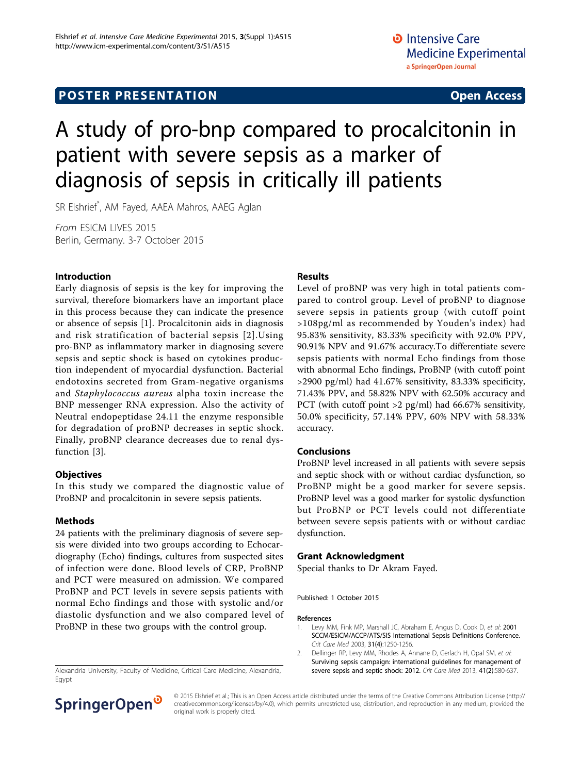## **POSTER PRESENTATION CONSUMING ACCESS**

# A study of pro-bnp compared to procalcitonin in patient with severe sepsis as a marker of diagnosis of sepsis in critically ill patients

SR Elshrief\* , AM Fayed, AAEA Mahros, AAEG Aglan

From ESICM LIVES 2015 Berlin, Germany. 3-7 October 2015

#### Introduction

Early diagnosis of sepsis is the key for improving the survival, therefore biomarkers have an important place in this process because they can indicate the presence or absence of sepsis [1]. Procalcitonin aids in diagnosis and risk stratification of bacterial sepsis [2].Using pro-BNP as inflammatory marker in diagnosing severe sepsis and septic shock is based on cytokines production independent of myocardial dysfunction. Bacterial endotoxins secreted from Gram-negative organisms and Staphylococcus aureus alpha toxin increase the BNP messenger RNA expression. Also the activity of Neutral endopeptidase 24.11 the enzyme responsible for degradation of proBNP decreases in septic shock. Finally, proBNP clearance decreases due to renal dysfunction [\[3](#page-1-0)].

#### **Objectives**

In this study we compared the diagnostic value of ProBNP and procalcitonin in severe sepsis patients.

#### Methods

24 patients with the preliminary diagnosis of severe sepsis were divided into two groups according to Echocardiography (Echo) findings, cultures from suspected sites of infection were done. Blood levels of CRP, ProBNP and PCT were measured on admission. We compared ProBNP and PCT levels in severe sepsis patients with normal Echo findings and those with systolic and/or diastolic dysfunction and we also compared level of ProBNP in these two groups with the control group.

Alexandria University, Faculty of Medicine, Critical Care Medicine, Alexandria, [severe sepsis and septic shock: 2012.](http://www.ncbi.nlm.nih.gov/pubmed/23353941?dopt=Abstract) Crit Care Med 2013, 41(2):580-637. Egypt

#### Results

Level of proBNP was very high in total patients compared to control group. Level of proBNP to diagnose severe sepsis in patients group (with cutoff point >108pg/ml as recommended by Youden's index) had 95.83% sensitivity, 83.33% specificity with 92.0% PPV, 90.91% NPV and 91.67% accuracy.To differentiate severe sepsis patients with normal Echo findings from those with abnormal Echo findings, ProBNP (with cutoff point >2900 pg/ml) had 41.67% sensitivity, 83.33% specificity, 71.43% PPV, and 58.82% NPV with 62.50% accuracy and PCT (with cutoff point >2 pg/ml) had 66.67% sensitivity, 50.0% specificity, 57.14% PPV, 60% NPV with 58.33% accuracy.

### Conclusions

ProBNP level increased in all patients with severe sepsis and septic shock with or without cardiac dysfunction, so ProBNP might be a good marker for severe sepsis. ProBNP level was a good marker for systolic dysfunction but ProBNP or PCT levels could not differentiate between severe sepsis patients with or without cardiac dysfunction.

#### Grant Acknowledgment

Special thanks to Dr Akram Fayed.

Published: 1 October 2015

#### References

- 1. Levy MM, Fink MP, Marshall JC, Abraham E, Angus D, Cook D, et al: [2001](http://www.ncbi.nlm.nih.gov/pubmed/12682500?dopt=Abstract) [SCCM/ESICM/ACCP/ATS/SIS International Sepsis Definitions Conference.](http://www.ncbi.nlm.nih.gov/pubmed/12682500?dopt=Abstract) Crit Care Med 2003, 31(4):1250-1256.
- 2. Dellinger RP, Levy MM, Rhodes A, Annane D, Gerlach H, Opal SM, et al: [Surviving sepsis campaign: international guidelines for management of](http://www.ncbi.nlm.nih.gov/pubmed/23353941?dopt=Abstract)



© 2015 Elshrief et al.; This is an Open Access article distributed under the terms of the Creative Commons Attribution License [\(http://](http://creativecommons.org/licenses/by/4.0) [creativecommons.org/licenses/by/4.0](http://creativecommons.org/licenses/by/4.0)), which permits unrestricted use, distribution, and reproduction in any medium, provided the original work is properly cited.